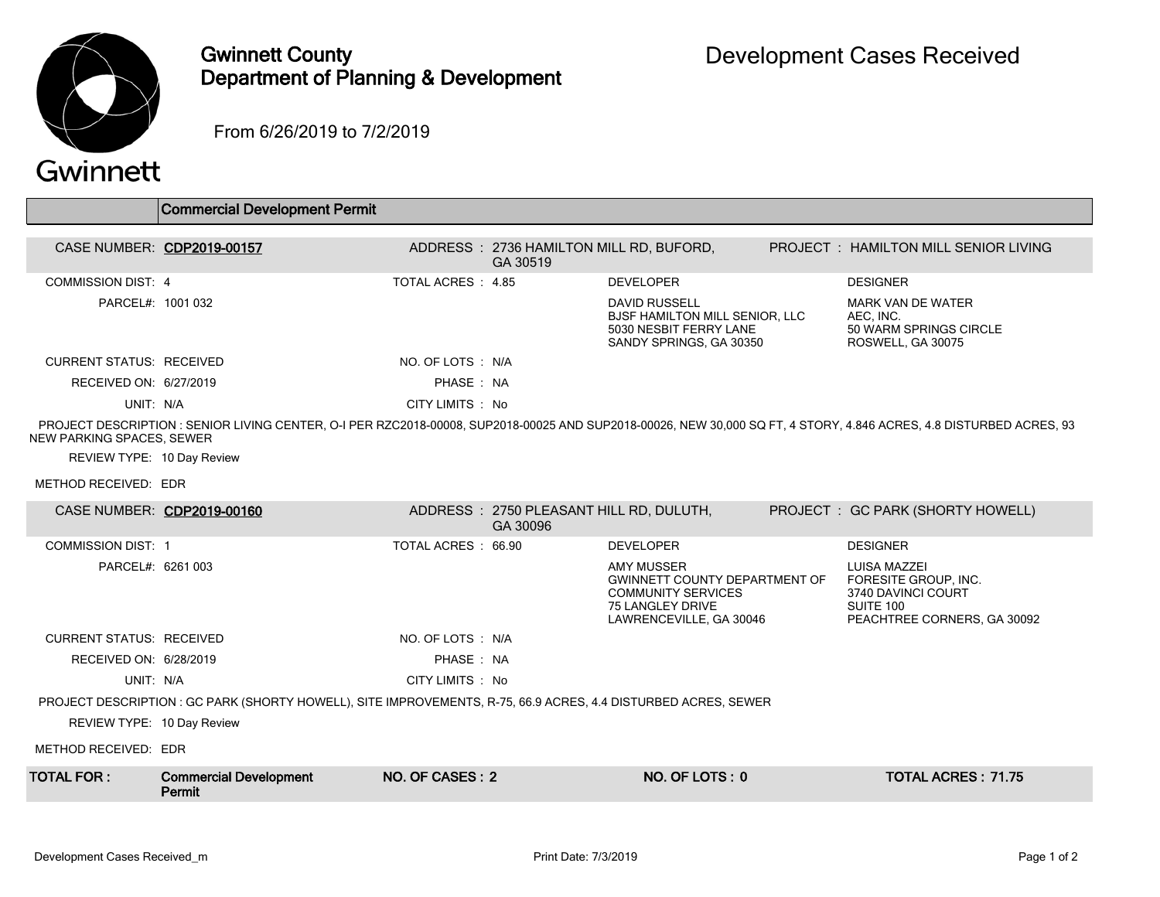

## Gwinnett County Department of Planning & Development

From 6/26/2019 to 7/2/2019

## Gwinnett

|                                                                                                                                                                                                  | <b>Commercial Development Permit</b>    |                    |                                                      |                                                                                                                                       |  |                                                                                                               |  |
|--------------------------------------------------------------------------------------------------------------------------------------------------------------------------------------------------|-----------------------------------------|--------------------|------------------------------------------------------|---------------------------------------------------------------------------------------------------------------------------------------|--|---------------------------------------------------------------------------------------------------------------|--|
| CASE NUMBER: CDP2019-00157                                                                                                                                                                       |                                         |                    | ADDRESS: 2736 HAMILTON MILL RD, BUFORD,<br>GA 30519  |                                                                                                                                       |  | <b>PROJECT : HAMILTON MILL SENIOR LIVING</b>                                                                  |  |
| <b>COMMISSION DIST: 4</b>                                                                                                                                                                        |                                         | TOTAL ACRES: 4.85  |                                                      | <b>DEVELOPER</b>                                                                                                                      |  | <b>DESIGNER</b>                                                                                               |  |
| PARCEL#: 1001 032                                                                                                                                                                                |                                         |                    |                                                      | <b>DAVID RUSSELL</b><br><b>BJSF HAMILTON MILL SENIOR, LLC</b><br>5030 NESBIT FERRY LANE<br>SANDY SPRINGS, GA 30350                    |  | <b>MARK VAN DE WATER</b><br>AEC. INC.<br>50 WARM SPRINGS CIRCLE<br>ROSWELL, GA 30075                          |  |
| <b>CURRENT STATUS: RECEIVED</b>                                                                                                                                                                  |                                         | NO. OF LOTS: N/A   |                                                      |                                                                                                                                       |  |                                                                                                               |  |
| RECEIVED ON: 6/27/2019                                                                                                                                                                           |                                         | PHASE: NA          |                                                      |                                                                                                                                       |  |                                                                                                               |  |
| UNIT: N/A                                                                                                                                                                                        |                                         | CITY LIMITS : No   |                                                      |                                                                                                                                       |  |                                                                                                               |  |
| PROJECT DESCRIPTION : SENIOR LIVING CENTER, O-I PER RZC2018-00008, SUP2018-00025 AND SUP2018-00026, NEW 30,000 SQ FT, 4 STORY, 4.846 ACRES, 4.8 DISTURBED ACRES, 93<br>NEW PARKING SPACES, SEWER |                                         |                    |                                                      |                                                                                                                                       |  |                                                                                                               |  |
| REVIEW TYPE: 10 Day Review                                                                                                                                                                       |                                         |                    |                                                      |                                                                                                                                       |  |                                                                                                               |  |
| METHOD RECEIVED: EDR                                                                                                                                                                             |                                         |                    |                                                      |                                                                                                                                       |  |                                                                                                               |  |
| CASE NUMBER: CDP2019-00160                                                                                                                                                                       |                                         |                    | ADDRESS : 2750 PLEASANT HILL RD, DULUTH,<br>GA 30096 |                                                                                                                                       |  | PROJECT : GC PARK (SHORTY HOWELL)                                                                             |  |
| <b>COMMISSION DIST: 1</b>                                                                                                                                                                        |                                         | TOTAL ACRES: 66.90 |                                                      | <b>DEVELOPER</b>                                                                                                                      |  | <b>DESIGNER</b>                                                                                               |  |
| PARCEL#: 6261 003                                                                                                                                                                                |                                         |                    |                                                      | <b>AMY MUSSER</b><br><b>GWINNETT COUNTY DEPARTMENT OF</b><br><b>COMMUNITY SERVICES</b><br>75 LANGLEY DRIVE<br>LAWRENCEVILLE, GA 30046 |  | <b>LUISA MAZZEI</b><br>FORESITE GROUP, INC.<br>3740 DAVINCI COURT<br>SUITE 100<br>PEACHTREE CORNERS, GA 30092 |  |
| <b>CURRENT STATUS: RECEIVED</b>                                                                                                                                                                  |                                         | NO. OF LOTS : N/A  |                                                      |                                                                                                                                       |  |                                                                                                               |  |
| RECEIVED ON: 6/28/2019                                                                                                                                                                           |                                         | PHASE: NA          |                                                      |                                                                                                                                       |  |                                                                                                               |  |
| UNIT: N/A                                                                                                                                                                                        |                                         | CITY LIMITS : No   |                                                      |                                                                                                                                       |  |                                                                                                               |  |
| PROJECT DESCRIPTION : GC PARK (SHORTY HOWELL), SITE IMPROVEMENTS, R-75, 66.9 ACRES, 4.4 DISTURBED ACRES, SEWER                                                                                   |                                         |                    |                                                      |                                                                                                                                       |  |                                                                                                               |  |
| REVIEW TYPE: 10 Day Review                                                                                                                                                                       |                                         |                    |                                                      |                                                                                                                                       |  |                                                                                                               |  |
| METHOD RECEIVED: EDR                                                                                                                                                                             |                                         |                    |                                                      |                                                                                                                                       |  |                                                                                                               |  |
| <b>TOTAL FOR :</b>                                                                                                                                                                               | <b>Commercial Development</b><br>Permit | NO. OF CASES: 2    |                                                      | NO. OF LOTS: 0                                                                                                                        |  | <b>TOTAL ACRES: 71.75</b>                                                                                     |  |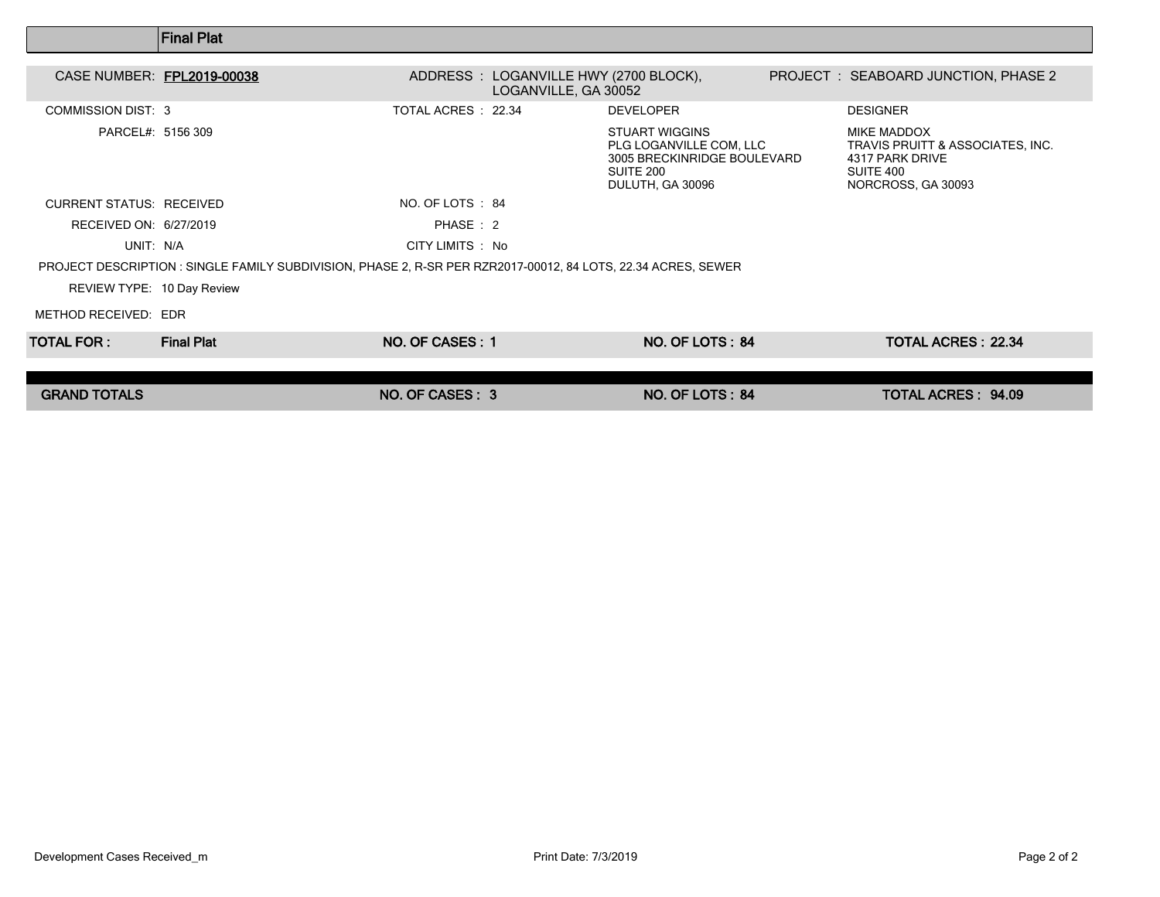|                                                                                                               | <b> Final Plat</b> |                     |                                                                                                                  |  |                                                                                                              |  |  |  |
|---------------------------------------------------------------------------------------------------------------|--------------------|---------------------|------------------------------------------------------------------------------------------------------------------|--|--------------------------------------------------------------------------------------------------------------|--|--|--|
| CASE NUMBER: FPL2019-00038                                                                                    |                    |                     | ADDRESS : LOGANVILLE HWY (2700 BLOCK),<br>LOGANVILLE, GA 30052                                                   |  | PROJECT : SEABOARD JUNCTION, PHASE 2                                                                         |  |  |  |
| <b>COMMISSION DIST: 3</b>                                                                                     |                    | TOTAL ACRES : 22.34 | <b>DEVELOPER</b>                                                                                                 |  | <b>DESIGNER</b>                                                                                              |  |  |  |
| PARCEL#: 5156 309                                                                                             |                    |                     | <b>STUART WIGGINS</b><br>PLG LOGANVILLE COM, LLC<br>3005 BRECKINRIDGE BOULEVARD<br>SUITE 200<br>DULUTH, GA 30096 |  | <b>MIKE MADDOX</b><br>TRAVIS PRUITT & ASSOCIATES, INC.<br>4317 PARK DRIVE<br>SUITE 400<br>NORCROSS, GA 30093 |  |  |  |
| <b>CURRENT STATUS: RECEIVED</b>                                                                               |                    | NO. OF LOTS : 84    |                                                                                                                  |  |                                                                                                              |  |  |  |
| RECEIVED ON: 6/27/2019                                                                                        |                    | PHASE: 2            |                                                                                                                  |  |                                                                                                              |  |  |  |
| UNIT: N/A                                                                                                     |                    | CITY LIMITS : No    |                                                                                                                  |  |                                                                                                              |  |  |  |
| PROJECT DESCRIPTION : SINGLE FAMILY SUBDIVISION, PHASE 2, R-SR PER RZR2017-00012, 84 LOTS, 22.34 ACRES, SEWER |                    |                     |                                                                                                                  |  |                                                                                                              |  |  |  |
| REVIEW TYPE: 10 Day Review                                                                                    |                    |                     |                                                                                                                  |  |                                                                                                              |  |  |  |
| METHOD RECEIVED: EDR                                                                                          |                    |                     |                                                                                                                  |  |                                                                                                              |  |  |  |
| TOTAL FOR :                                                                                                   | <b>Final Plat</b>  | NO. OF CASES: 1     | NO. OF LOTS: 84                                                                                                  |  | <b>TOTAL ACRES: 22.34</b>                                                                                    |  |  |  |
|                                                                                                               |                    |                     |                                                                                                                  |  |                                                                                                              |  |  |  |
| <b>GRAND TOTALS</b>                                                                                           |                    | NO. OF CASES: 3     | NO. OF LOTS: 84                                                                                                  |  | <b>TOTAL ACRES: 94.09</b>                                                                                    |  |  |  |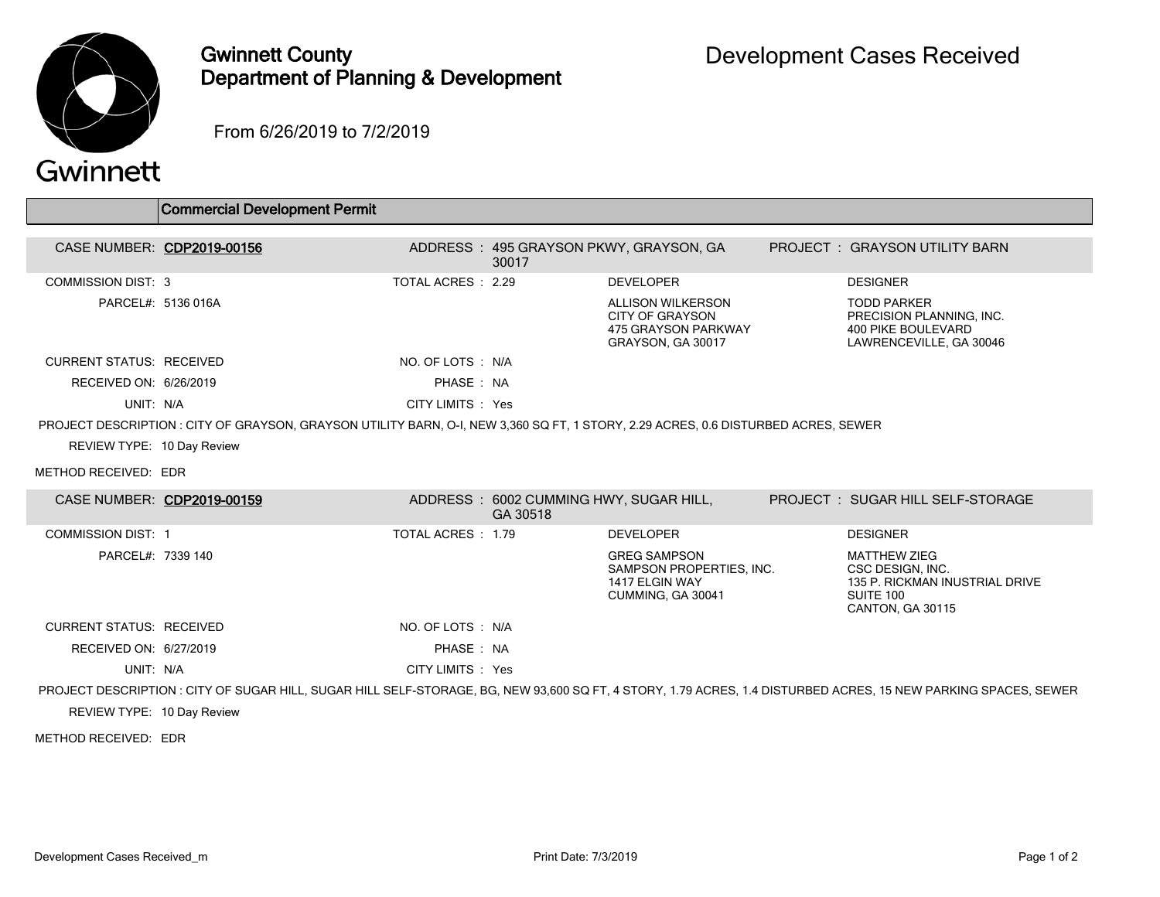

## Gwinnett County Department of Planning & Development

From 6/26/2019 to 7/2/2019

## Gwinnett

|                                                                                                                                   | Commercial Development Permit |                   |          |                                                                                         |  |                                                                                                                                                                 |  |
|-----------------------------------------------------------------------------------------------------------------------------------|-------------------------------|-------------------|----------|-----------------------------------------------------------------------------------------|--|-----------------------------------------------------------------------------------------------------------------------------------------------------------------|--|
|                                                                                                                                   | CASE NUMBER: CDP2019-00156    |                   |          | ADDRESS: 495 GRAYSON PKWY, GRAYSON, GA                                                  |  | PROJECT : GRAYSON UTILITY BARN                                                                                                                                  |  |
|                                                                                                                                   |                               |                   | 30017    |                                                                                         |  |                                                                                                                                                                 |  |
| <b>COMMISSION DIST: 3</b>                                                                                                         |                               | TOTAL ACRES: 2.29 |          | <b>DEVELOPER</b>                                                                        |  | <b>DESIGNER</b>                                                                                                                                                 |  |
|                                                                                                                                   | PARCEL#: 5136 016A            |                   |          | ALLISON WILKERSON<br><b>CITY OF GRAYSON</b><br>475 GRAYSON PARKWAY<br>GRAYSON, GA 30017 |  | <b>TODD PARKER</b><br>PRECISION PLANNING, INC.<br><b>400 PIKE BOULEVARD</b><br>LAWRENCEVILLE, GA 30046                                                          |  |
| <b>CURRENT STATUS: RECEIVED</b>                                                                                                   |                               | NO. OF LOTS : N/A |          |                                                                                         |  |                                                                                                                                                                 |  |
| RECEIVED ON: 6/26/2019                                                                                                            |                               | PHASE: NA         |          |                                                                                         |  |                                                                                                                                                                 |  |
| UNIT: N/A                                                                                                                         |                               | CITY LIMITS : Yes |          |                                                                                         |  |                                                                                                                                                                 |  |
| PROJECT DESCRIPTION: CITY OF GRAYSON, GRAYSON UTILITY BARN, O-I, NEW 3,360 SQ FT, 1 STORY, 2.29 ACRES, 0.6 DISTURBED ACRES, SEWER |                               |                   |          |                                                                                         |  |                                                                                                                                                                 |  |
| REVIEW TYPE: 10 Day Review                                                                                                        |                               |                   |          |                                                                                         |  |                                                                                                                                                                 |  |
| METHOD RECEIVED: EDR                                                                                                              |                               |                   |          |                                                                                         |  |                                                                                                                                                                 |  |
| CASE NUMBER: CDP2019-00159                                                                                                        |                               |                   | GA 30518 | ADDRESS: 6002 CUMMING HWY, SUGAR HILL,                                                  |  | PROJECT: SUGAR HILL SELF-STORAGE                                                                                                                                |  |
| <b>COMMISSION DIST: 1</b>                                                                                                         |                               | TOTAL ACRES: 1.79 |          | <b>DEVELOPER</b>                                                                        |  | <b>DESIGNER</b>                                                                                                                                                 |  |
| PARCEL#: 7339 140                                                                                                                 |                               |                   |          | <b>GREG SAMPSON</b><br>SAMPSON PROPERTIES, INC.<br>1417 ELGIN WAY<br>CUMMING, GA 30041  |  | <b>MATTHEW ZIEG</b><br>CSC DESIGN, INC.<br>135 P. RICKMAN INUSTRIAL DRIVE<br>SUITE 100<br>CANTON, GA 30115                                                      |  |
| <b>CURRENT STATUS: RECEIVED</b>                                                                                                   |                               | NO. OF LOTS : N/A |          |                                                                                         |  |                                                                                                                                                                 |  |
| RECEIVED ON: 6/27/2019                                                                                                            |                               | PHASE: NA         |          |                                                                                         |  |                                                                                                                                                                 |  |
| UNIT: N/A                                                                                                                         |                               | CITY LIMITS : Yes |          |                                                                                         |  |                                                                                                                                                                 |  |
|                                                                                                                                   |                               |                   |          |                                                                                         |  | PROJECT DESCRIPTION : CITY OF SUGAR HILL, SUGAR HILL SELF-STORAGE, BG, NEW 93,600 SQ FT, 4 STORY, 1.79 ACRES, 1.4 DISTURBED ACRES, 15 NEW PARKING SPACES, SEWER |  |
| REVIEW TYPE: 10 Day Review                                                                                                        |                               |                   |          |                                                                                         |  |                                                                                                                                                                 |  |

METHOD RECEIVED: EDR